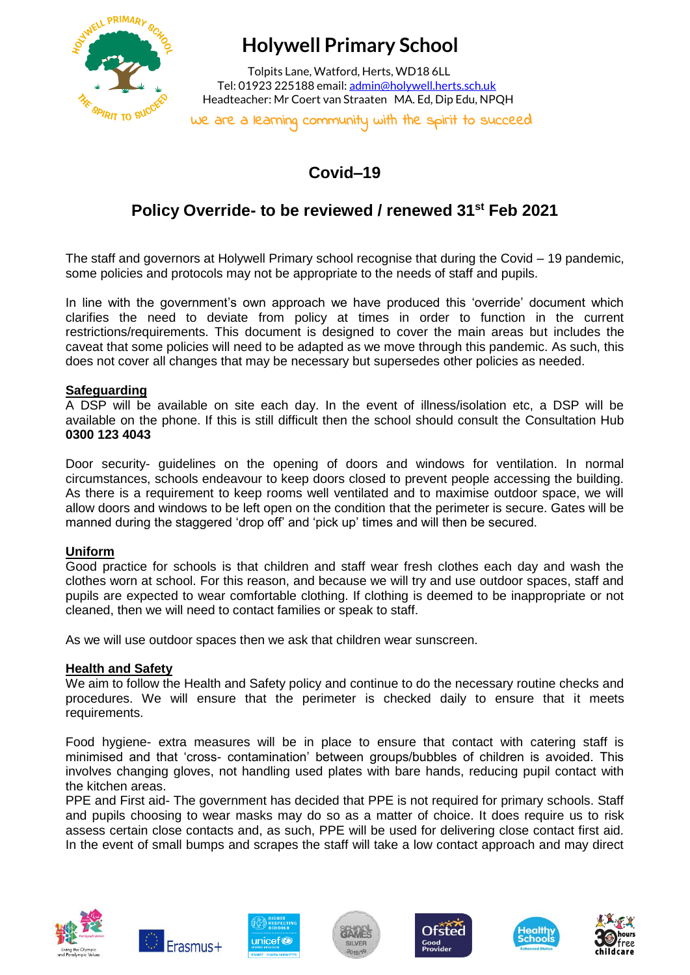

# **Holywell Primary School**

 Tolpits Lane, Watford, Herts, WD18 6LL Tel: 01923 225188 email[: admin@holywell.herts.sch.uk](mailto:admin@holywell.herts.sch.uk) Headteacher: Mr Coert van Straaten MA. Ed, Dip Edu, NPQH

We are a learning community with the spirit to succeed

# **Covid–19**

## **Policy Override- to be reviewed / renewed 31st Feb 2021**

The staff and governors at Holywell Primary school recognise that during the Covid – 19 pandemic, some policies and protocols may not be appropriate to the needs of staff and pupils.

In line with the government's own approach we have produced this 'override' document which clarifies the need to deviate from policy at times in order to function in the current restrictions/requirements. This document is designed to cover the main areas but includes the caveat that some policies will need to be adapted as we move through this pandemic. As such, this does not cover all changes that may be necessary but supersedes other policies as needed.

#### **Safeguarding**

A DSP will be available on site each day. In the event of illness/isolation etc, a DSP will be available on the phone. If this is still difficult then the school should consult the Consultation Hub **0300 123 4043**

Door security- guidelines on the opening of doors and windows for ventilation. In normal circumstances, schools endeavour to keep doors closed to prevent people accessing the building. As there is a requirement to keep rooms well ventilated and to maximise outdoor space, we will allow doors and windows to be left open on the condition that the perimeter is secure. Gates will be manned during the staggered 'drop off' and 'pick up' times and will then be secured.

#### **Uniform**

Good practice for schools is that children and staff wear fresh clothes each day and wash the clothes worn at school. For this reason, and because we will try and use outdoor spaces, staff and pupils are expected to wear comfortable clothing. If clothing is deemed to be inappropriate or not cleaned, then we will need to contact families or speak to staff.

As we will use outdoor spaces then we ask that children wear sunscreen.

#### **Health and Safety**

We aim to follow the Health and Safety policy and continue to do the necessary routine checks and procedures. We will ensure that the perimeter is checked daily to ensure that it meets requirements.

Food hygiene- extra measures will be in place to ensure that contact with catering staff is minimised and that 'cross- contamination' between groups/bubbles of children is avoided. This involves changing gloves, not handling used plates with bare hands, reducing pupil contact with the kitchen areas.

PPE and First aid- The government has decided that PPE is not required for primary schools. Staff and pupils choosing to wear masks may do so as a matter of choice. It does require us to risk assess certain close contacts and, as such, PPE will be used for delivering close contact first aid. In the event of small bumps and scrapes the staff will take a low contact approach and may direct













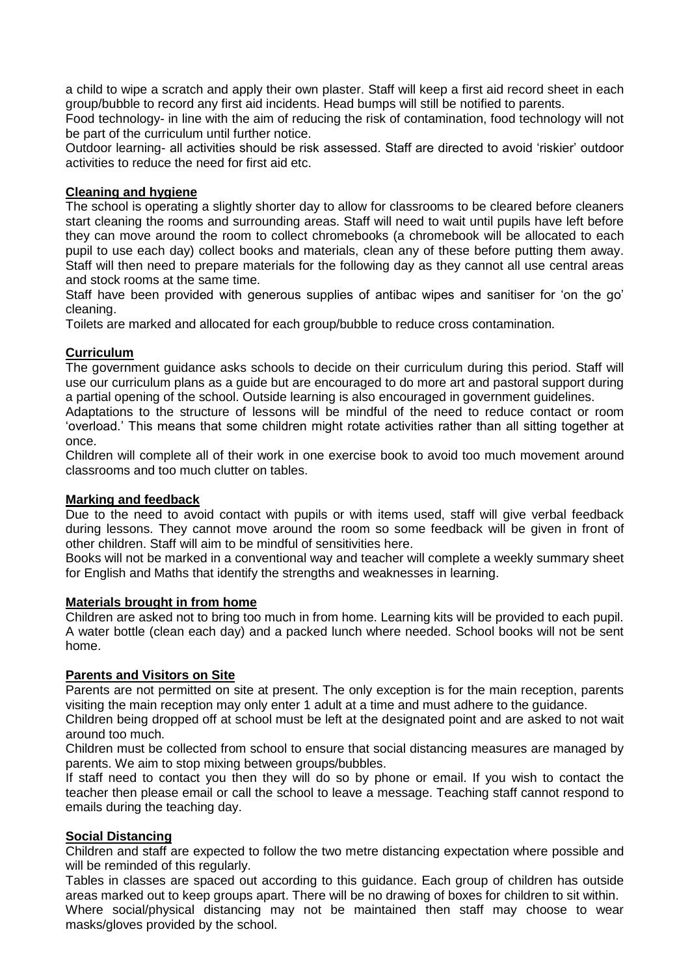a child to wipe a scratch and apply their own plaster. Staff will keep a first aid record sheet in each group/bubble to record any first aid incidents. Head bumps will still be notified to parents.

Food technology- in line with the aim of reducing the risk of contamination, food technology will not be part of the curriculum until further notice.

Outdoor learning- all activities should be risk assessed. Staff are directed to avoid 'riskier' outdoor activities to reduce the need for first aid etc.

#### **Cleaning and hygiene**

The school is operating a slightly shorter day to allow for classrooms to be cleared before cleaners start cleaning the rooms and surrounding areas. Staff will need to wait until pupils have left before they can move around the room to collect chromebooks (a chromebook will be allocated to each pupil to use each day) collect books and materials, clean any of these before putting them away. Staff will then need to prepare materials for the following day as they cannot all use central areas and stock rooms at the same time.

Staff have been provided with generous supplies of antibac wipes and sanitiser for 'on the go' cleaning.

Toilets are marked and allocated for each group/bubble to reduce cross contamination.

### **Curriculum**

The government guidance asks schools to decide on their curriculum during this period. Staff will use our curriculum plans as a guide but are encouraged to do more art and pastoral support during a partial opening of the school. Outside learning is also encouraged in government guidelines.

Adaptations to the structure of lessons will be mindful of the need to reduce contact or room 'overload.' This means that some children might rotate activities rather than all sitting together at once.

Children will complete all of their work in one exercise book to avoid too much movement around classrooms and too much clutter on tables.

#### **Marking and feedback**

Due to the need to avoid contact with pupils or with items used, staff will give verbal feedback during lessons. They cannot move around the room so some feedback will be given in front of other children. Staff will aim to be mindful of sensitivities here.

Books will not be marked in a conventional way and teacher will complete a weekly summary sheet for English and Maths that identify the strengths and weaknesses in learning.

#### **Materials brought in from home**

Children are asked not to bring too much in from home. Learning kits will be provided to each pupil. A water bottle (clean each day) and a packed lunch where needed. School books will not be sent home.

#### **Parents and Visitors on Site**

Parents are not permitted on site at present. The only exception is for the main reception, parents visiting the main reception may only enter 1 adult at a time and must adhere to the guidance.

Children being dropped off at school must be left at the designated point and are asked to not wait around too much.

Children must be collected from school to ensure that social distancing measures are managed by parents. We aim to stop mixing between groups/bubbles.

If staff need to contact you then they will do so by phone or email. If you wish to contact the teacher then please email or call the school to leave a message. Teaching staff cannot respond to emails during the teaching day.

### **Social Distancing**

Children and staff are expected to follow the two metre distancing expectation where possible and will be reminded of this regularly.

Tables in classes are spaced out according to this guidance. Each group of children has outside areas marked out to keep groups apart. There will be no drawing of boxes for children to sit within. Where social/physical distancing may not be maintained then staff may choose to wear masks/gloves provided by the school.